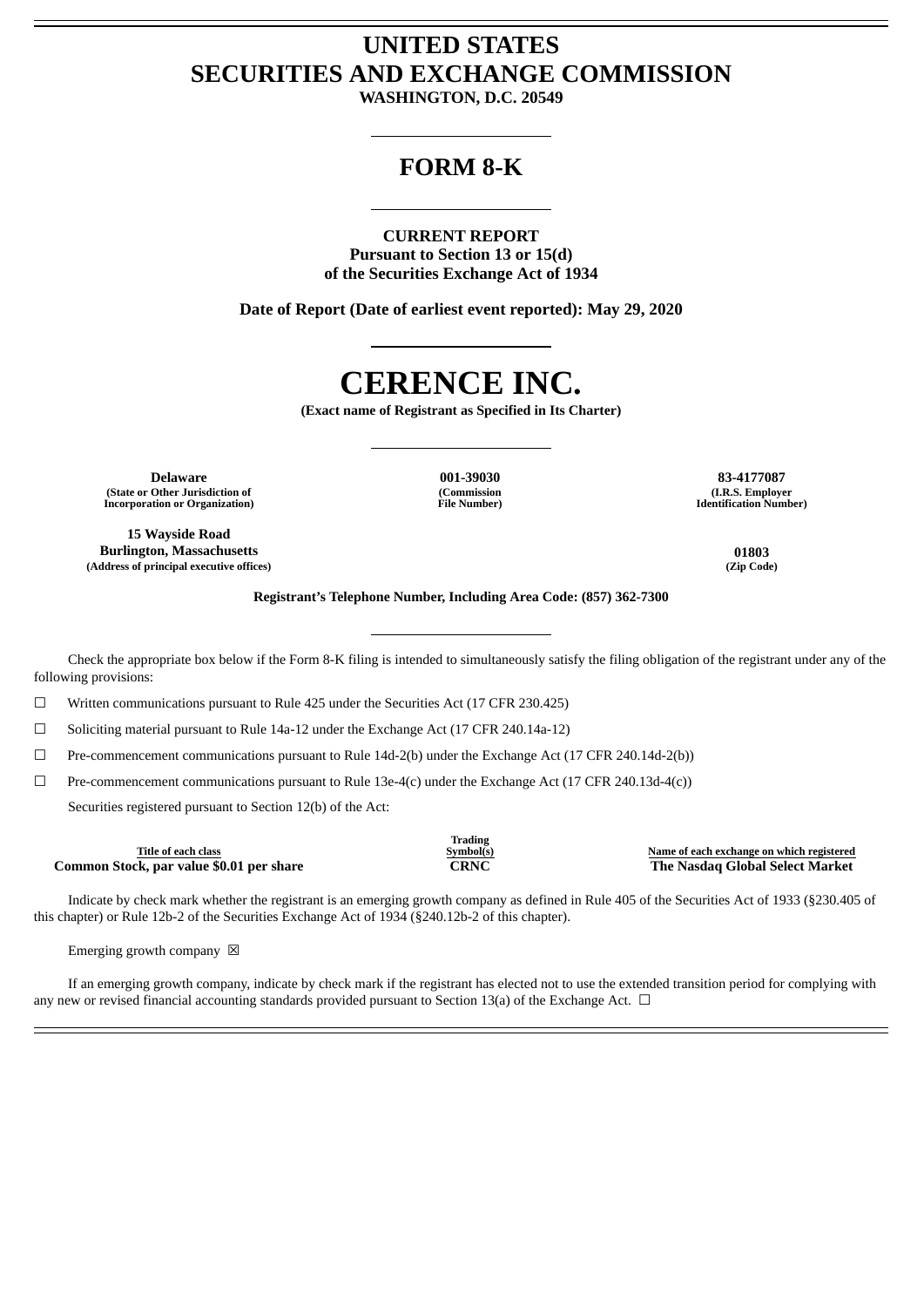# **UNITED STATES SECURITIES AND EXCHANGE COMMISSION**

**WASHINGTON, D.C. 20549**

# **FORM 8-K**

## **CURRENT REPORT**

**Pursuant to Section 13 or 15(d) of the Securities Exchange Act of 1934**

**Date of Report (Date of earliest event reported): May 29, 2020**

# **CERENCE INC.**

**(Exact name of Registrant as Specified in Its Charter)**

**Delaware 001-39030 83-4177087 (State or Other Jurisdiction of Incorporation or Organization)**

**15 Wayside Road Burlington, Massachusetts 01803 (Address of principal executive offices) (Zip Code)**

**(Commission File Number)**

**(I.R.S. Employer Identification Number)**

**Registrant's Telephone Number, Including Area Code: (857) 362-7300**

Check the appropriate box below if the Form 8-K filing is intended to simultaneously satisfy the filing obligation of the registrant under any of the following provisions:

☐ Written communications pursuant to Rule 425 under the Securities Act (17 CFR 230.425)

☐ Soliciting material pursuant to Rule 14a-12 under the Exchange Act (17 CFR 240.14a-12)

☐ Pre-commencement communications pursuant to Rule 14d-2(b) under the Exchange Act (17 CFR 240.14d-2(b))

☐ Pre-commencement communications pursuant to Rule 13e-4(c) under the Exchange Act (17 CFR 240.13d-4(c))

Securities registered pursuant to Section 12(b) of the Act:

| Name of each exchange on which registered<br>Symbol(s) |
|--------------------------------------------------------|
| The Nasdag Global Select Market                        |
| <b>Trading</b><br>CRNC                                 |

Indicate by check mark whether the registrant is an emerging growth company as defined in Rule 405 of the Securities Act of 1933 (§230.405 of this chapter) or Rule 12b-2 of the Securities Exchange Act of 1934 (§240.12b-2 of this chapter).

Emerging growth company  $\boxtimes$ 

If an emerging growth company, indicate by check mark if the registrant has elected not to use the extended transition period for complying with any new or revised financial accounting standards provided pursuant to Section 13(a) of the Exchange Act.  $\Box$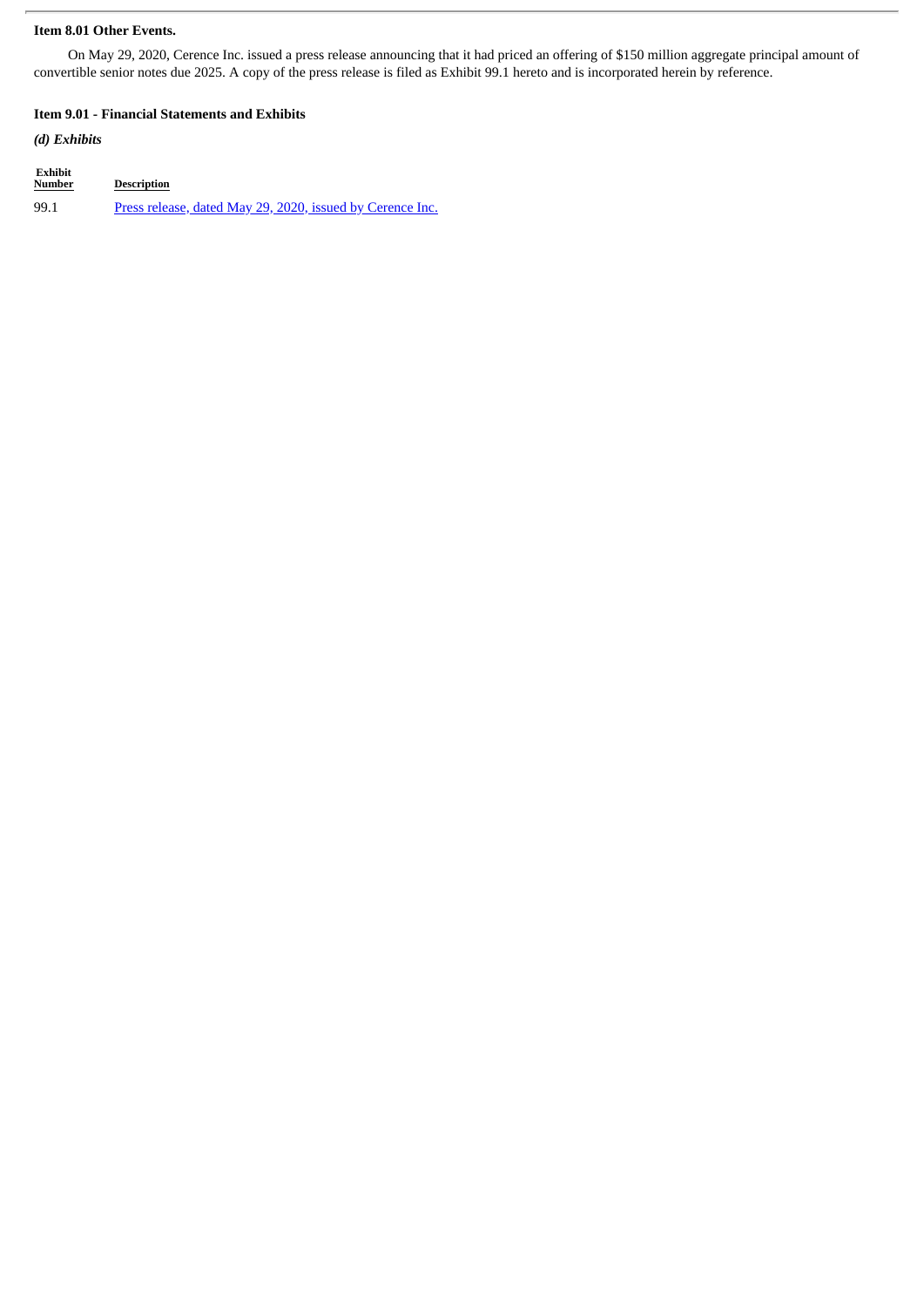### **Item 8.01 Other Events.**

On May 29, 2020, Cerence Inc. issued a press release announcing that it had priced an offering of \$150 million aggregate principal amount of convertible senior notes due 2025. A copy of the press release is filed as Exhibit 99.1 hereto and is incorporated herein by reference.

#### **Item 9.01 - Financial Statements and Exhibits**

### *(d) Exhibits*

| Exhibit<br><b>Number</b> | <b>Description</b>                                        |
|--------------------------|-----------------------------------------------------------|
| 99.1                     | Press release, dated May 29, 2020, issued by Cerence Inc. |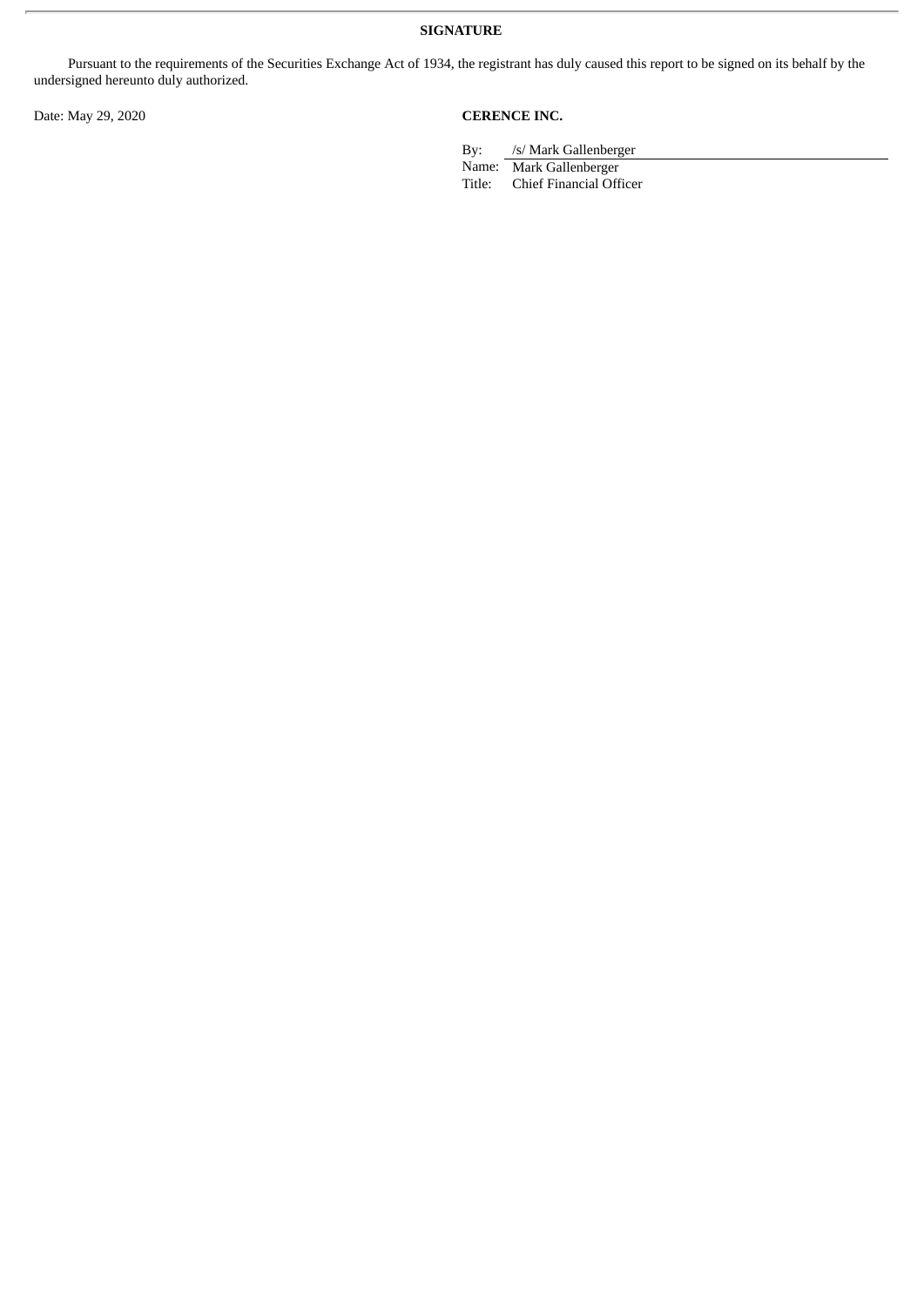**SIGNATURE**

Pursuant to the requirements of the Securities Exchange Act of 1934, the registrant has duly caused this report to be signed on its behalf by the undersigned hereunto duly authorized.

# Date: May 29, 2020 **CERENCE INC.**

By: /s/ Mark Gallenberger

Name: Mark Gallenberger<br>Title: Chief Financial Off

Chief Financial Officer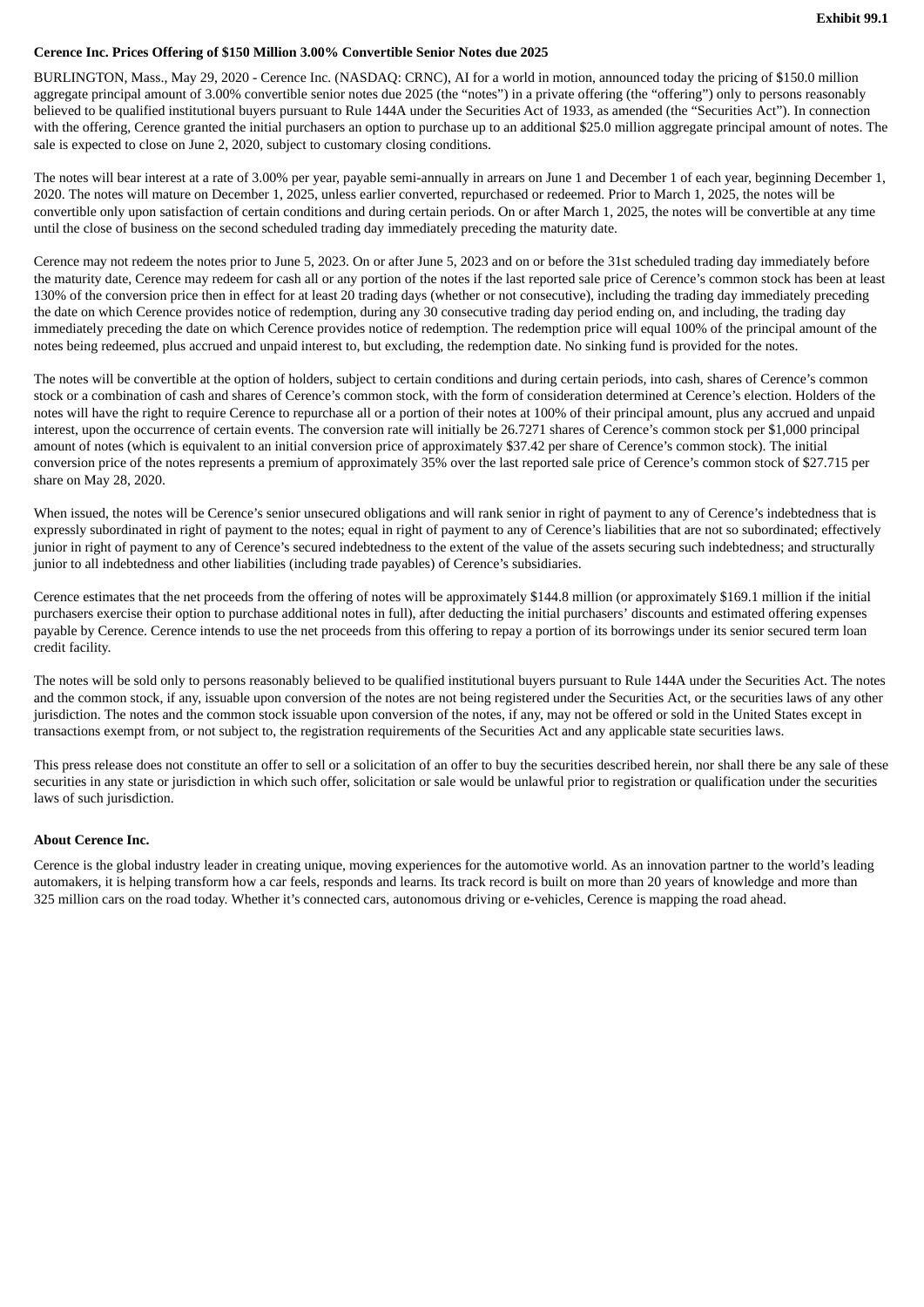#### <span id="page-3-0"></span>**Cerence Inc. Prices Offering of \$150 Million 3.00% Convertible Senior Notes due 2025**

BURLINGTON, Mass., May 29, 2020 - Cerence Inc. (NASDAQ: CRNC), AI for a world in motion, announced today the pricing of \$150.0 million aggregate principal amount of 3.00% convertible senior notes due 2025 (the "notes") in a private offering (the "offering") only to persons reasonably believed to be qualified institutional buyers pursuant to Rule 144A under the Securities Act of 1933, as amended (the "Securities Act"). In connection with the offering, Cerence granted the initial purchasers an option to purchase up to an additional \$25.0 million aggregate principal amount of notes. The sale is expected to close on June 2, 2020, subject to customary closing conditions.

The notes will bear interest at a rate of 3.00% per year, payable semi-annually in arrears on June 1 and December 1 of each year, beginning December 1, 2020. The notes will mature on December 1, 2025, unless earlier converted, repurchased or redeemed. Prior to March 1, 2025, the notes will be convertible only upon satisfaction of certain conditions and during certain periods. On or after March 1, 2025, the notes will be convertible at any time until the close of business on the second scheduled trading day immediately preceding the maturity date.

Cerence may not redeem the notes prior to June 5, 2023. On or after June 5, 2023 and on or before the 31st scheduled trading day immediately before the maturity date, Cerence may redeem for cash all or any portion of the notes if the last reported sale price of Cerence's common stock has been at least 130% of the conversion price then in effect for at least 20 trading days (whether or not consecutive), including the trading day immediately preceding the date on which Cerence provides notice of redemption, during any 30 consecutive trading day period ending on, and including, the trading day immediately preceding the date on which Cerence provides notice of redemption. The redemption price will equal 100% of the principal amount of the notes being redeemed, plus accrued and unpaid interest to, but excluding, the redemption date. No sinking fund is provided for the notes.

The notes will be convertible at the option of holders, subject to certain conditions and during certain periods, into cash, shares of Cerence's common stock or a combination of cash and shares of Cerence's common stock, with the form of consideration determined at Cerence's election. Holders of the notes will have the right to require Cerence to repurchase all or a portion of their notes at 100% of their principal amount, plus any accrued and unpaid interest, upon the occurrence of certain events. The conversion rate will initially be 26.7271 shares of Cerence's common stock per \$1,000 principal amount of notes (which is equivalent to an initial conversion price of approximately \$37.42 per share of Cerence's common stock). The initial conversion price of the notes represents a premium of approximately 35% over the last reported sale price of Cerence's common stock of \$27.715 per share on May 28, 2020.

When issued, the notes will be Cerence's senior unsecured obligations and will rank senior in right of payment to any of Cerence's indebtedness that is expressly subordinated in right of payment to the notes; equal in right of payment to any of Cerence's liabilities that are not so subordinated; effectively junior in right of payment to any of Cerence's secured indebtedness to the extent of the value of the assets securing such indebtedness; and structurally junior to all indebtedness and other liabilities (including trade payables) of Cerence's subsidiaries.

Cerence estimates that the net proceeds from the offering of notes will be approximately \$144.8 million (or approximately \$169.1 million if the initial purchasers exercise their option to purchase additional notes in full), after deducting the initial purchasers' discounts and estimated offering expenses payable by Cerence. Cerence intends to use the net proceeds from this offering to repay a portion of its borrowings under its senior secured term loan credit facility.

The notes will be sold only to persons reasonably believed to be qualified institutional buyers pursuant to Rule 144A under the Securities Act. The notes and the common stock, if any, issuable upon conversion of the notes are not being registered under the Securities Act, or the securities laws of any other jurisdiction. The notes and the common stock issuable upon conversion of the notes, if any, may not be offered or sold in the United States except in transactions exempt from, or not subject to, the registration requirements of the Securities Act and any applicable state securities laws.

This press release does not constitute an offer to sell or a solicitation of an offer to buy the securities described herein, nor shall there be any sale of these securities in any state or jurisdiction in which such offer, solicitation or sale would be unlawful prior to registration or qualification under the securities laws of such jurisdiction.

#### **About Cerence Inc.**

Cerence is the global industry leader in creating unique, moving experiences for the automotive world. As an innovation partner to the world's leading automakers, it is helping transform how a car feels, responds and learns. Its track record is built on more than 20 years of knowledge and more than 325 million cars on the road today. Whether it's connected cars, autonomous driving or e-vehicles, Cerence is mapping the road ahead.